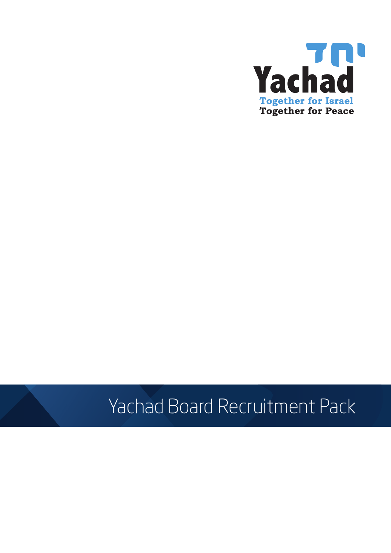

# Yachad Board Recruitment Pack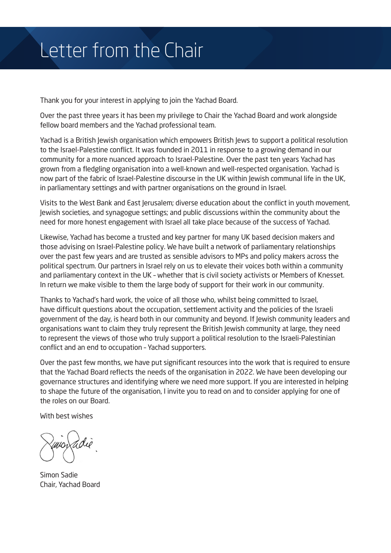## Letter from the Chair

Thank you for your interest in applying to join the Yachad Board.

Over the past three years it has been my privilege to Chair the Yachad Board and work alongside fellow board members and the Yachad professional team.

Yachad is a British Jewish organisation which empowers British Jews to support a political resolution to the Israel-Palestine conflict. It was founded in 2011 in response to a growing demand in our community for a more nuanced approach to Israel-Palestine. Over the past ten years Yachad has grown from a fledgling organisation into a well-known and well-respected organisation. Yachad is now part of the fabric of Israel-Palestine discourse in the UK within Jewish communal life in the UK, in parliamentary settings and with partner organisations on the ground in Israel.

Visits to the West Bank and East Jerusalem; diverse education about the conflict in youth movement, Jewish societies, and synagogue settings; and public discussions within the community about the need for more honest engagement with Israel all take place because of the success of Yachad.

Likewise, Yachad has become a trusted and key partner for many UK based decision makers and those advising on Israel-Palestine policy. We have built a network of parliamentary relationships over the past few years and are trusted as sensible advisors to MPs and policy makers across the political spectrum. Our partners in Israel rely on us to elevate their voices both within a community and parliamentary context in the UK – whether that is civil society activists or Members of Knesset. In return we make visible to them the large body of support for their work in our community.

Thanks to Yachad's hard work, the voice of all those who, whilst being committed to Israel, have difficult questions about the occupation, settlement activity and the policies of the Israeli government of the day, is heard both in our community and beyond. If Jewish community leaders and organisations want to claim they truly represent the British Jewish community at large, they need to represent the views of those who truly support a political resolution to the Israeli-Palestinian conflict and an end to occupation – Yachad supporters.

Over the past few months, we have put significant resources into the work that is required to ensure that the Yachad Board reflects the needs of the organisation in 2022. We have been developing our governance structures and identifying where we need more support. If you are interested in helping to shape the future of the organisation, I invite you to read on and to consider applying for one of the roles on our Board.

With best wishes

: dio

Simon Sadie Chair, Yachad Board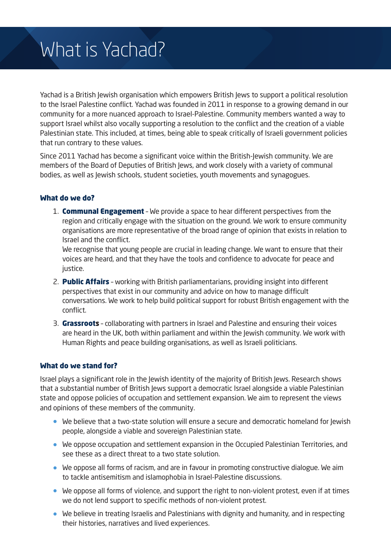## What is Yachad?

Yachad is a British Jewish organisation which empowers British Jews to support a political resolution to the Israel Palestine conflict. Yachad was founded in 2011 in response to a growing demand in our community for a more nuanced approach to Israel-Palestine. Community members wanted a way to support Israel whilst also vocally supporting a resolution to the conflict and the creation of a viable Palestinian state. This included, at times, being able to speak critically of Israeli government policies that run contrary to these values.

Since 2011 Yachad has become a significant voice within the British-Jewish community. We are members of the Board of Deputies of British Jews, and work closely with a variety of communal bodies, as well as Jewish schools, student societies, youth movements and synagogues.

#### What do we do?

1. **Communal Engagement** - We provide a space to hear different perspectives from the region and critically engage with the situation on the ground. We work to ensure community organisations are more representative of the broad range of opinion that exists in relation to Israel and the conflict.

We recognise that young people are crucial in leading change. We want to ensure that their voices are heard, and that they have the tools and confidence to advocate for peace and justice.

- 2. Public Affairs working with British parliamentarians, providing insight into different perspectives that exist in our community and advice on how to manage difficult conversations. We work to help build political support for robust British engagement with the conflict.
- 3. Grassroots collaborating with partners in Israel and Palestine and ensuring their voices are heard in the UK, both within parliament and within the Jewish community. We work with Human Rights and peace building organisations, as well as Israeli politicians.

#### What do we stand for?

Israel plays a significant role in the Jewish identity of the majority of British Jews. Research shows that a substantial number of British Jews support a democratic Israel alongside a viable Palestinian state and oppose policies of occupation and settlement expansion. We aim to represent the views and opinions of these members of the community.

- We believe that a two-state solution will ensure a secure and democratic homeland for lewish people, alongside a viable and sovereign Palestinian state.
- We oppose occupation and settlement expansion in the Occupied Palestinian Territories, and see these as a direct threat to a two state solution.
- We oppose all forms of racism, and are in favour in promoting constructive dialogue. We aim to tackle antisemitism and islamophobia in Israel-Palestine discussions.
- We oppose all forms of violence, and support the right to non-violent protest, even if at times we do not lend support to specific methods of non-violent protest.
- We believe in treating Israelis and Palestinians with dignity and humanity, and in respecting their histories, narratives and lived experiences.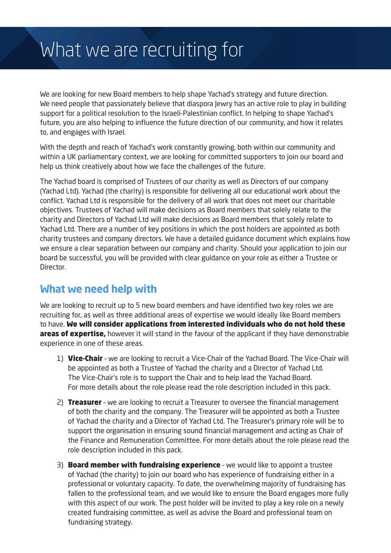## What we are recruiting for

We are looking for new Board members to help shape Yachad's strategy and future direction. We need people that passionately believe that diaspora Jewry has an active role to play in building support for a political resolution to the Israeli-Palestinian conflict. In helping to shape Yachad's future, you are also helping to influence the future direction of our community, and how it relates to, and engages with Israel.

With the depth and reach of Yachad's work constantly growing, both within our community and within a UK parliamentary context, we are looking for committed supporters to join our board and help us think creatively about how we face the challenges of the future.

The Yachad board is comprised of Trustees of our charity as well as Directors of our company (Yachad Ltd). Yachad (the charity) is responsible for delivering all our educational work about the conflict. Yachad Ltd is responsible for the delivery of all work that does not meet our charitable objectives. Trustees of Yachad will make decisions as Board members that solely relate to the charity and Directors of Yachad Ltd will make decisions as Board members that solely relate to Yachad Ltd. There are a number of key positions in which the post holders are appointed as both charity trustees and company directors. We have a detailed guidance document which explains how we ensure a clear separation between our company and charity. Should your application to join our board be successful, you will be provided with clear guidance on your role as either a Trustee or Director.

#### **What we need help with**

We are looking to recruit up to 5 new board members and have identified two key roles we are recruiting for, as well as three additional areas of expertise we would ideally like Board members to have. We will consider applications from interested individuals who do not hold these areas of expertise, however it will stand in the favour of the applicant if they have demonstrable experience in one of these areas.

- 1) Vice-Chair we are looking to recruit a Vice-Chair of the Yachad Board. The Vice-Chair will be appointed as both a Trustee of Yachad the charity and a Director of Yachad Ltd. The Vice-Chair's role is to support the Chair and to help lead the Yachad Board. For more details about the role please read the role description included in this pack.
- 2) **Treasurer** we are looking to recruit a Treasurer to oversee the financial management of both the charity and the company. The Treasurer will be appointed as both a Trustee of Yachad the charity and a Director of Yachad Ltd. The Treasurer's primary role will be to support the organisation in ensuring sound financial management and acting as Chair of the Finance and Remuneration Committee. For more details about the role please read the role description included in this pack.
- 3) **Board member with fundraising experience** we would like to appoint a trustee of Yachad (the charity) to join our board who has experience of fundraising either in a professional or voluntary capacity. To date, the overwhelming majority of fundraising has fallen to the professional team, and we would like to ensure the Board engages more fully with this aspect of our work. The post holder will be invited to play a key role on a newly created fundraising committee, as well as advise the Board and professional team on fundraising strategy.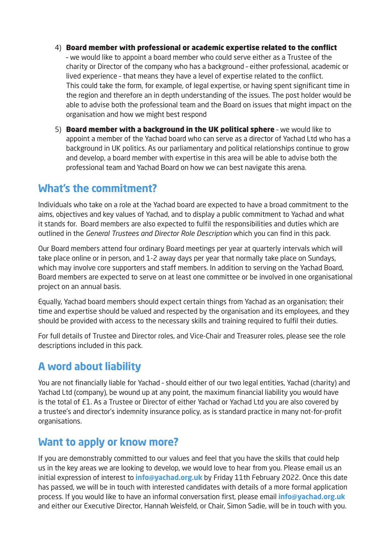- 4) Board member with professional or academic expertise related to the conflict – we would like to appoint a board member who could serve either as a Trustee of the charity or Director of the company who has a background – either professional, academic or lived experience – that means they have a level of expertise related to the conflict. This could take the form, for example, of legal expertise, or having spent significant time in the region and therefore an in depth understanding of the issues. The post holder would be able to advise both the professional team and the Board on issues that might impact on the organisation and how we might best respond
- 5) Board member with a background in the UK political sphere we would like to appoint a member of the Yachad board who can serve as a director of Yachad Ltd who has a background in UK politics. As our parliamentary and political relationships continue to grow and develop, a board member with expertise in this area will be able to advise both the professional team and Yachad Board on how we can best navigate this arena.

#### **What's the commitment?**

Individuals who take on a role at the Yachad board are expected to have a broad commitment to the aims, objectives and key values of Yachad, and to display a public commitment to Yachad and what it stands for. Board members are also expected to fulfil the responsibilities and duties which are outlined in the *General Trustees and Director Role Description* which you can find in this pack.

Our Board members attend four ordinary Board meetings per year at quarterly intervals which will take place online or in person, and 1-2 away days per year that normally take place on Sundays, which may involve core supporters and staff members. In addition to serving on the Yachad Board, Board members are expected to serve on at least one committee or be involved in one organisational project on an annual basis.

Equally, Yachad board members should expect certain things from Yachad as an organisation; their time and expertise should be valued and respected by the organisation and its employees, and they should be provided with access to the necessary skills and training required to fulfil their duties.

For full details of Trustee and Director roles, and Vice-Chair and Treasurer roles, please see the role descriptions included in this pack.

#### **A word about liability**

You are not financially liable for Yachad – should either of our two legal entities, Yachad (charity) and Yachad Ltd (company), be wound up at any point, the maximum financial liability you would have is the total of £1. As a Trustee or Director of either Yachad or Yachad Ltd you are also covered by a trustee's and director's indemnity insurance policy, as is standard practice in many not-for-profit organisations.

#### **Want to apply or know more?**

If you are demonstrably committed to our values and feel that you have the skills that could help us in the key areas we are looking to develop, we would love to hear from you. Please email us an initial expression of interest to **info@yachad.org.uk** by Friday 11th February 2022. Once this date has passed, we will be in touch with interested candidates with details of a more formal application process. If you would like to have an informal conversation first, please email **info@yachad.org.uk** and either our Executive Director, Hannah Weisfeld, or Chair, Simon Sadie, will be in touch with you.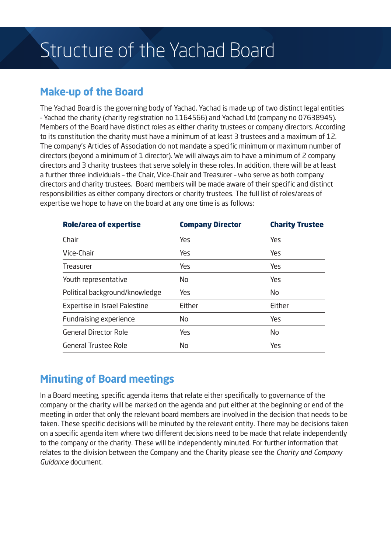## Structure of the Yachad Board

### **Make-up of the Board**

The Yachad Board is the governing body of Yachad. Yachad is made up of two distinct legal entities – Yachad the charity (charity registration no 1164566) and Yachad Ltd (company no 07638945). Members of the Board have distinct roles as either charity trustees or company directors. According to its constitution the charity must have a minimum of at least 3 trustees and a maximum of 12. The company's Articles of Association do not mandate a specific minimum or maximum number of directors (beyond a minimum of 1 director). We will always aim to have a minimum of 2 company directors and 3 charity trustees that serve solely in these roles. In addition, there will be at least a further three individuals – the Chair, Vice-Chair and Treasurer – who serve as both company directors and charity trustees. Board members will be made aware of their specific and distinct responsibilities as either company directors or charity trustees. The full list of roles/areas of expertise we hope to have on the board at any one time is as follows:

| <b>Role/area of expertise</b>        | <b>Company Director</b> | <b>Charity Trustee</b> |
|--------------------------------------|-------------------------|------------------------|
| Chair                                | Yes                     | Yes                    |
| Vice-Chair                           | Yes                     | Yes                    |
| Treasurer                            | Yes                     | Yes                    |
| Youth representative                 | <b>No</b>               | Yes                    |
| Political background/knowledge       | Yes                     | <b>No</b>              |
| <b>Expertise in Israel Palestine</b> | Either                  | Either                 |
| Fundraising experience               | No.                     | Yes                    |
| <b>General Director Role</b>         | Yes                     | <b>No</b>              |
| <b>General Trustee Role</b>          | No                      | Yes                    |

## **Minuting of Board meetings**

In a Board meeting, specific agenda items that relate either specifically to governance of the company or the charity will be marked on the agenda and put either at the beginning or end of the meeting in order that only the relevant board members are involved in the decision that needs to be taken. These specific decisions will be minuted by the relevant entity. There may be decisions taken on a specific agenda item where two different decisions need to be made that relate independently to the company or the charity. These will be independently minuted. For further information that relates to the division between the Company and the Charity please see the *Charity and Company Guidance* document.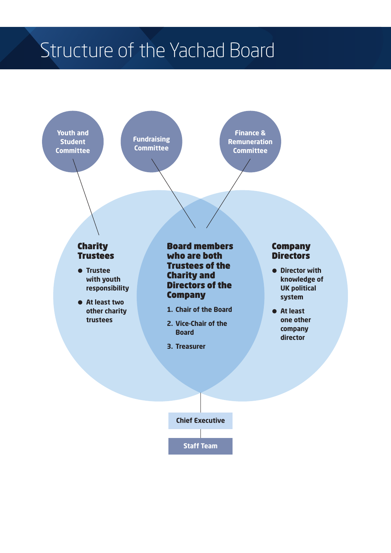## Structure of the Yachad Board

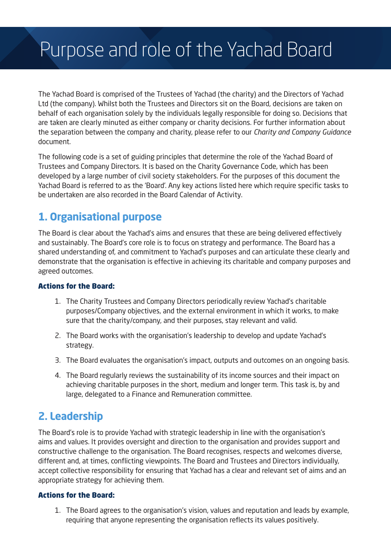## Purpose and role of the Yachad Board

The Yachad Board is comprised of the Trustees of Yachad (the charity) and the Directors of Yachad Ltd (the company). Whilst both the Trustees and Directors sit on the Board, decisions are taken on behalf of each organisation solely by the individuals legally responsible for doing so. Decisions that are taken are clearly minuted as either company or charity decisions. For further information about the separation between the company and charity, please refer to our *Charity and Company Guidance* document.

The following code is a set of guiding principles that determine the role of the Yachad Board of Trustees and Company Directors. It is based on the Charity Governance Code, which has been developed by a large number of civil society stakeholders. For the purposes of this document the Yachad Board is referred to as the 'Board'. Any key actions listed here which require specific tasks to be undertaken are also recorded in the Board Calendar of Activity.

### **1. Organisational purpose**

The Board is clear about the Yachad's aims and ensures that these are being delivered effectively and sustainably. The Board's core role is to focus on strategy and performance. The Board has a shared understanding of, and commitment to Yachad's purposes and can articulate these clearly and demonstrate that the organisation is effective in achieving its charitable and company purposes and agreed outcomes.

#### Actions for the Board:

- 1. The Charity Trustees and Company Directors periodically review Yachad's charitable purposes/Company objectives, and the external environment in which it works, to make sure that the charity/company, and their purposes, stay relevant and valid.
- 2. The Board works with the organisation's leadership to develop and update Yachad's strategy.
- 3. The Board evaluates the organisation's impact, outputs and outcomes on an ongoing basis.
- 4. The Board regularly reviews the sustainability of its income sources and their impact on achieving charitable purposes in the short, medium and longer term. This task is, by and large, delegated to a Finance and Remuneration committee.

## **2. Leadership**

The Board's role is to provide Yachad with strategic leadership in line with the organisation's aims and values. It provides oversight and direction to the organisation and provides support and constructive challenge to the organisation. The Board recognises, respects and welcomes diverse, different and, at times, conflicting viewpoints. The Board and Trustees and Directors individually, accept collective responsibility for ensuring that Yachad has a clear and relevant set of aims and an appropriate strategy for achieving them.

#### Actions for the Board:

1. The Board agrees to the organisation's vision, values and reputation and leads by example, requiring that anyone representing the organisation reflects its values positively.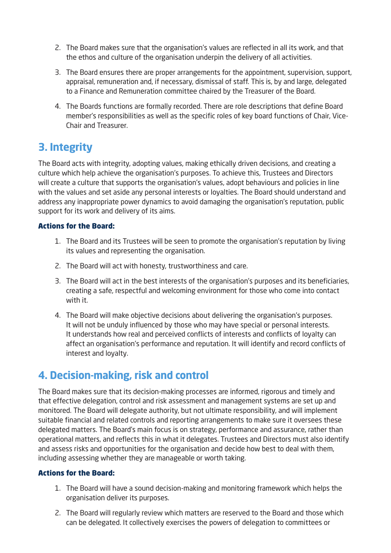- 2. The Board makes sure that the organisation's values are reflected in all its work, and that the ethos and culture of the organisation underpin the delivery of all activities.
- 3. The Board ensures there are proper arrangements for the appointment, supervision, support, appraisal, remuneration and, if necessary, dismissal of staff. This is, by and large, delegated to a Finance and Remuneration committee chaired by the Treasurer of the Board.
- 4. The Boards functions are formally recorded. There are role descriptions that define Board member's responsibilities as well as the specific roles of key board functions of Chair, Vice-Chair and Treasurer.

## **3. Integrity**

The Board acts with integrity, adopting values, making ethically driven decisions, and creating a culture which help achieve the organisation's purposes. To achieve this, Trustees and Directors will create a culture that supports the organisation's values, adopt behaviours and policies in line with the values and set aside any personal interests or loyalties. The Board should understand and address any inappropriate power dynamics to avoid damaging the organisation's reputation, public support for its work and delivery of its aims.

#### Actions for the Board:

- 1. The Board and its Trustees will be seen to promote the organisation's reputation by living its values and representing the organisation.
- 2. The Board will act with honesty, trustworthiness and care.
- 3. The Board will act in the best interests of the organisation's purposes and its beneficiaries, creating a safe, respectful and welcoming environment for those who come into contact with it.
- 4. The Board will make objective decisions about delivering the organisation's purposes. It will not be unduly influenced by those who may have special or personal interests. It understands how real and perceived conflicts of interests and conflicts of loyalty can affect an organisation's performance and reputation. It will identify and record conflicts of interest and loyalty.

## **4. Decision-making, risk and control**

The Board makes sure that its decision-making processes are informed, rigorous and timely and that effective delegation, control and risk assessment and management systems are set up and monitored. The Board will delegate authority, but not ultimate responsibility, and will implement suitable financial and related controls and reporting arrangements to make sure it oversees these delegated matters. The Board's main focus is on strategy, performance and assurance, rather than operational matters, and reflects this in what it delegates. Trustees and Directors must also identify and assess risks and opportunities for the organisation and decide how best to deal with them, including assessing whether they are manageable or worth taking.

#### Actions for the Board:

- 1. The Board will have a sound decision-making and monitoring framework which helps the organisation deliver its purposes.
- 2. The Board will regularly review which matters are reserved to the Board and those which can be delegated. It collectively exercises the powers of delegation to committees or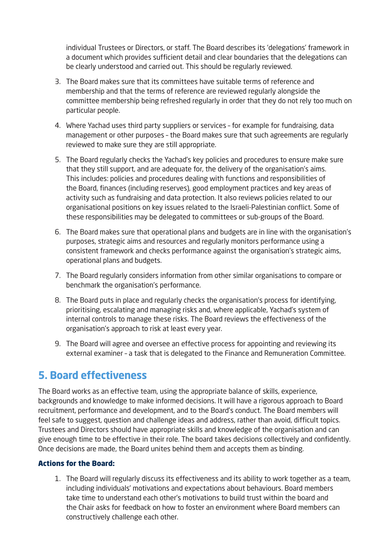individual Trustees or Directors, or staff. The Board describes its 'delegations' framework in a document which provides sufficient detail and clear boundaries that the delegations can be clearly understood and carried out. This should be regularly reviewed.

- 3. The Board makes sure that its committees have suitable terms of reference and membership and that the terms of reference are reviewed regularly alongside the committee membership being refreshed regularly in order that they do not rely too much on particular people.
- 4. Where Yachad uses third party suppliers or services for example for fundraising, data management or other purposes – the Board makes sure that such agreements are regularly reviewed to make sure they are still appropriate.
- 5. The Board regularly checks the Yachad's key policies and procedures to ensure make sure that they still support, and are adequate for, the delivery of the organisation's aims. This includes: policies and procedures dealing with functions and responsibilities of the Board, finances (including reserves), good employment practices and key areas of activity such as fundraising and data protection. It also reviews policies related to our organisational positions on key issues related to the Israeli-Palestinian conflict. Some of these responsibilities may be delegated to committees or sub-groups of the Board.
- 6. The Board makes sure that operational plans and budgets are in line with the organisation's purposes, strategic aims and resources and regularly monitors performance using a consistent framework and checks performance against the organisation's strategic aims, operational plans and budgets.
- 7. The Board regularly considers information from other similar organisations to compare or benchmark the organisation's performance.
- 8. The Board puts in place and regularly checks the organisation's process for identifying, prioritising, escalating and managing risks and, where applicable, Yachad's system of internal controls to manage these risks. The Board reviews the effectiveness of the organisation's approach to risk at least every year.
- 9. The Board will agree and oversee an effective process for appointing and reviewing its external examiner – a task that is delegated to the Finance and Remuneration Committee.

#### **5. Board effectiveness**

The Board works as an effective team, using the appropriate balance of skills, experience, backgrounds and knowledge to make informed decisions. It will have a rigorous approach to Board recruitment, performance and development, and to the Board's conduct. The Board members will feel safe to suggest, question and challenge ideas and address, rather than avoid, difficult topics. Trustees and Directors should have appropriate skills and knowledge of the organisation and can give enough time to be effective in their role. The board takes decisions collectively and confidently. Once decisions are made, the Board unites behind them and accepts them as binding.

#### Actions for the Board:

1. The Board will regularly discuss its effectiveness and its ability to work together as a team, including individuals' motivations and expectations about behaviours. Board members take time to understand each other's motivations to build trust within the board and the Chair asks for feedback on how to foster an environment where Board members can constructively challenge each other.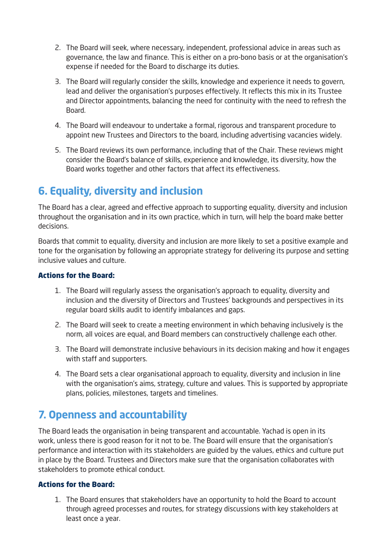- 2. The Board will seek, where necessary, independent, professional advice in areas such as governance, the law and finance. This is either on a pro-bono basis or at the organisation's expense if needed for the Board to discharge its duties.
- 3. The Board will regularly consider the skills, knowledge and experience it needs to govern, lead and deliver the organisation's purposes effectively. It reflects this mix in its Trustee and Director appointments, balancing the need for continuity with the need to refresh the Board.
- 4. The Board will endeavour to undertake a formal, rigorous and transparent procedure to appoint new Trustees and Directors to the board, including advertising vacancies widely.
- 5. The Board reviews its own performance, including that of the Chair. These reviews might consider the Board's balance of skills, experience and knowledge, its diversity, how the Board works together and other factors that affect its effectiveness.

## **6. Equality, diversity and inclusion**

The Board has a clear, agreed and effective approach to supporting equality, diversity and inclusion throughout the organisation and in its own practice, which in turn, will help the board make better decisions.

Boards that commit to equality, diversity and inclusion are more likely to set a positive example and tone for the organisation by following an appropriate strategy for delivering its purpose and setting inclusive values and culture.

#### Actions for the Board:

- 1. The Board will regularly assess the organisation's approach to equality, diversity and inclusion and the diversity of Directors and Trustees' backgrounds and perspectives in its regular board skills audit to identify imbalances and gaps.
- 2. The Board will seek to create a meeting environment in which behaving inclusively is the norm, all voices are equal, and Board members can constructively challenge each other.
- 3. The Board will demonstrate inclusive behaviours in its decision making and how it engages with staff and supporters.
- 4. The Board sets a clear organisational approach to equality, diversity and inclusion in line with the organisation's aims, strategy, culture and values. This is supported by appropriate plans, policies, milestones, targets and timelines.

## **7. Openness and accountability**

The Board leads the organisation in being transparent and accountable. Yachad is open in its work, unless there is good reason for it not to be. The Board will ensure that the organisation's performance and interaction with its stakeholders are guided by the values, ethics and culture put in place by the Board. Trustees and Directors make sure that the organisation collaborates with stakeholders to promote ethical conduct.

#### Actions for the Board:

1. The Board ensures that stakeholders have an opportunity to hold the Board to account through agreed processes and routes, for strategy discussions with key stakeholders at least once a year.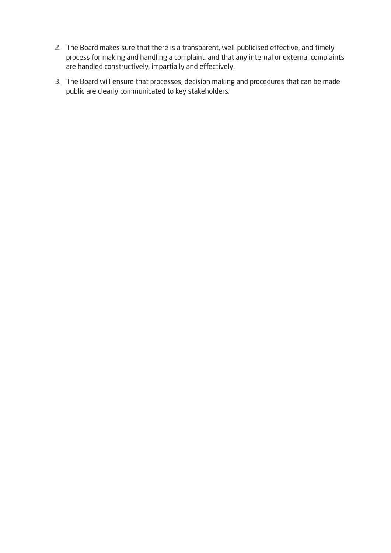- 2. The Board makes sure that there is a transparent, well-publicised effective, and timely process for making and handling a complaint, and that any internal or external complaints are handled constructively, impartially and effectively.
- 3. The Board will ensure that processes, decision making and procedures that can be made public are clearly communicated to key stakeholders.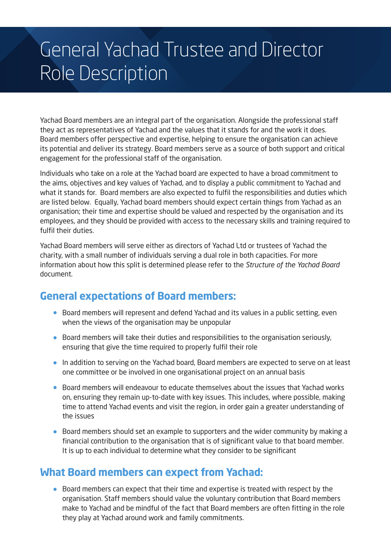## General Yachad Trustee and Director Role Description

Yachad Board members are an integral part of the organisation. Alongside the professional staff they act as representatives of Yachad and the values that it stands for and the work it does. Board members offer perspective and expertise, helping to ensure the organisation can achieve its potential and deliver its strategy. Board members serve as a source of both support and critical engagement for the professional staff of the organisation.

Individuals who take on a role at the Yachad board are expected to have a broad commitment to the aims, objectives and key values of Yachad, and to display a public commitment to Yachad and what it stands for. Board members are also expected to fulfil the responsibilities and duties which are listed below. Equally, Yachad board members should expect certain things from Yachad as an organisation; their time and expertise should be valued and respected by the organisation and its employees, and they should be provided with access to the necessary skills and training required to fulfil their duties.

Yachad Board members will serve either as directors of Yachad Ltd or trustees of Yachad the charity, with a small number of individuals serving a dual role in both capacities. For more information about how this split is determined please refer to the *Structure of the Yachad Board* document.

#### **General expectations of Board members:**

- Board members will represent and defend Yachad and its values in a public setting, even when the views of the organisation may be unpopular
- Board members will take their duties and responsibilities to the organisation seriously, ensuring that give the time required to properly fulfil their role
- In addition to serving on the Yachad board, Board members are expected to serve on at least one committee or be involved in one organisational project on an annual basis
- Board members will endeavour to educate themselves about the issues that Yachad works on, ensuring they remain up-to-date with key issues. This includes, where possible, making time to attend Yachad events and visit the region, in order gain a greater understanding of the issues
- Board members should set an example to supporters and the wider community by making a financial contribution to the organisation that is of significant value to that board member. It is up to each individual to determine what they consider to be significant

#### **What Board members can expect from Yachad:**

• Board members can expect that their time and expertise is treated with respect by the organisation. Staff members should value the voluntary contribution that Board members make to Yachad and be mindful of the fact that Board members are often fitting in the role they play at Yachad around work and family commitments.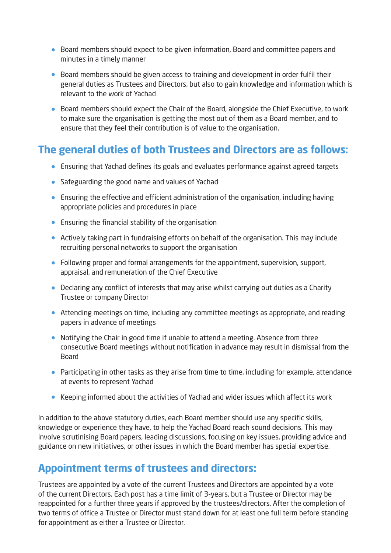- Board members should expect to be given information, Board and committee papers and minutes in a timely manner
- Board members should be given access to training and development in order fulfil their general duties as Trustees and Directors, but also to gain knowledge and information which is relevant to the work of Yachad
- Board members should expect the Chair of the Board, alongside the Chief Executive, to work to make sure the organisation is getting the most out of them as a Board member, and to ensure that they feel their contribution is of value to the organisation.

### **The general duties of both Trustees and Directors are as follows:**

- Ensuring that Yachad defines its goals and evaluates performance against agreed targets
- Safeguarding the good name and values of Yachad
- Ensuring the effective and efficient administration of the organisation, including having appropriate policies and procedures in place
- Ensuring the financial stability of the organisation
- Actively taking part in fundraising efforts on behalf of the organisation. This may include recruiting personal networks to support the organisation
- Following proper and formal arrangements for the appointment, supervision, support, appraisal, and remuneration of the Chief Executive
- Declaring any conflict of interests that may arise whilst carrying out duties as a Charity Trustee or company Director
- Attending meetings on time, including any committee meetings as appropriate, and reading papers in advance of meetings
- Notifying the Chair in good time if unable to attend a meeting. Absence from three consecutive Board meetings without notification in advance may result in dismissal from the Board
- Participating in other tasks as they arise from time to time, including for example, attendance at events to represent Yachad
- Keeping informed about the activities of Yachad and wider issues which affect its work

In addition to the above statutory duties, each Board member should use any specific skills, knowledge or experience they have, to help the Yachad Board reach sound decisions. This may involve scrutinising Board papers, leading discussions, focusing on key issues, providing advice and guidance on new initiatives, or other issues in which the Board member has special expertise.

#### **Appointment terms of trustees and directors:**

Trustees are appointed by a vote of the current Trustees and Directors are appointed by a vote of the current Directors. Each post has a time limit of 3-years, but a Trustee or Director may be reappointed for a further three years if approved by the trustees/directors. After the completion of two terms of office a Trustee or Director must stand down for at least one full term before standing for appointment as either a Trustee or Director.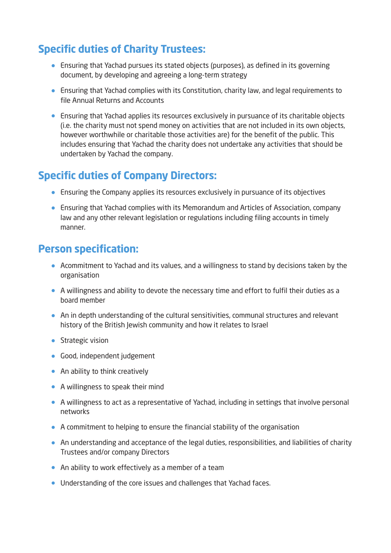## **Specific duties of Charity Trustees:**

- Ensuring that Yachad pursues its stated objects (purposes), as defined in its governing document, by developing and agreeing a long-term strategy
- Ensuring that Yachad complies with its Constitution, charity law, and legal requirements to file Annual Returns and Accounts
- Ensuring that Yachad applies its resources exclusively in pursuance of its charitable objects (i.e. the charity must not spend money on activities that are not included in its own objects, however worthwhile or charitable those activities are) for the benefit of the public. This includes ensuring that Yachad the charity does not undertake any activities that should be undertaken by Yachad the company.

## **Specific duties of Company Directors:**

- Ensuring the Company applies its resources exclusively in pursuance of its objectives
- Ensuring that Yachad complies with its Memorandum and Articles of Association, company law and any other relevant legislation or regulations including filing accounts in timely manner.

### **Person specification:**

- Acommitment to Yachad and its values, and a willingness to stand by decisions taken by the organisation
- A willingness and ability to devote the necessary time and effort to fulfil their duties as a board member
- An in depth understanding of the cultural sensitivities, communal structures and relevant history of the British Jewish community and how it relates to Israel
- Strategic vision
- Good, independent judgement
- An ability to think creatively
- A willingness to speak their mind
- A willingness to act as a representative of Yachad, including in settings that involve personal networks
- A commitment to helping to ensure the financial stability of the organisation
- An understanding and acceptance of the legal duties, responsibilities, and liabilities of charity Trustees and/or company Directors
- An ability to work effectively as a member of a team
- Understanding of the core issues and challenges that Yachad faces.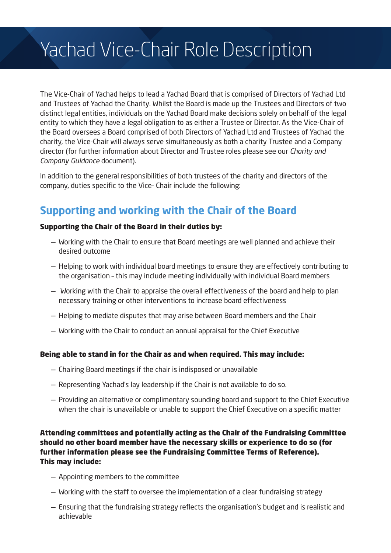# Yachad Vice-Chair Role Description

The Vice-Chair of Yachad helps to lead a Yachad Board that is comprised of Directors of Yachad Ltd and Trustees of Yachad the Charity. Whilst the Board is made up the Trustees and Directors of two distinct legal entities, individuals on the Yachad Board make decisions solely on behalf of the legal entity to which they have a legal obligation to as either a Trustee or Director. As the Vice-Chair of the Board oversees a Board comprised of both Directors of Yachad Ltd and Trustees of Yachad the charity, the Vice-Chair will always serve simultaneously as both a charity Trustee and a Company director (for further information about Director and Trustee roles please see our *Charity and Company Guidance* document).

In addition to the general responsibilities of both trustees of the charity and directors of the company, duties specific to the Vice- Chair include the following:

## **Supporting and working with the Chair of the Board**

#### Supporting the Chair of the Board in their duties by:

- Working with the Chair to ensure that Board meetings are well planned and achieve their desired outcome
- Helping to work with individual board meetings to ensure they are effectively contributing to the organisation – this may include meeting individually with individual Board members
- Working with the Chair to appraise the overall effectiveness of the board and help to plan necessary training or other interventions to increase board effectiveness
- Helping to mediate disputes that may arise between Board members and the Chair
- Working with the Chair to conduct an annual appraisal for the Chief Executive

#### Being able to stand in for the Chair as and when required. This may include:

- Chairing Board meetings if the chair is indisposed or unavailable
- Representing Yachad's lay leadership if the Chair is not available to do so.
- Providing an alternative or complimentary sounding board and support to the Chief Executive when the chair is unavailable or unable to support the Chief Executive on a specific matter

Attending committees and potentially acting as the Chair of the Fundraising Committee should no other board member have the necessary skills or experience to do so (for further information please see the Fundraising Committee Terms of Reference). This may include:

- Appointing members to the committee
- Working with the staff to oversee the implementation of a clear fundraising strategy
- Ensuring that the fundraising strategy reflects the organisation's budget and is realistic and achievable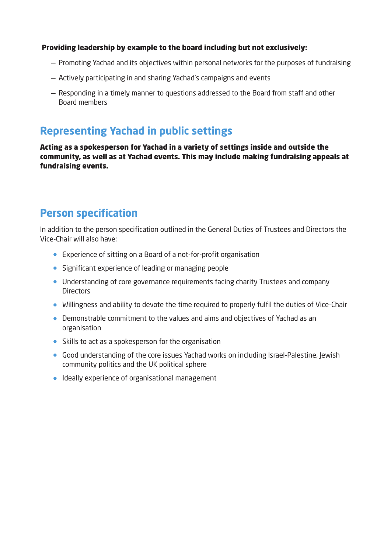#### Providing leadership by example to the board including but not exclusively:

- Promoting Yachad and its objectives within personal networks for the purposes of fundraising
- Actively participating in and sharing Yachad's campaigns and events
- Responding in a timely manner to questions addressed to the Board from staff and other Board members

#### **Representing Yachad in public settings**

Acting as a spokesperson for Yachad in a variety of settings inside and outside the community, as well as at Yachad events. This may include making fundraising appeals at fundraising events.

### **Person specification**

In addition to the person specification outlined in the General Duties of Trustees and Directors the Vice-Chair will also have:

- Experience of sitting on a Board of a not-for-profit organisation
- Significant experience of leading or managing people
- Understanding of core governance requirements facing charity Trustees and company **Directors**
- Willingness and ability to devote the time required to properly fulfil the duties of Vice-Chair
- Demonstrable commitment to the values and aims and objectives of Yachad as an organisation
- Skills to act as a spokesperson for the organisation
- Good understanding of the core issues Yachad works on including Israel-Palestine, Jewish community politics and the UK political sphere
- Ideally experience of organisational management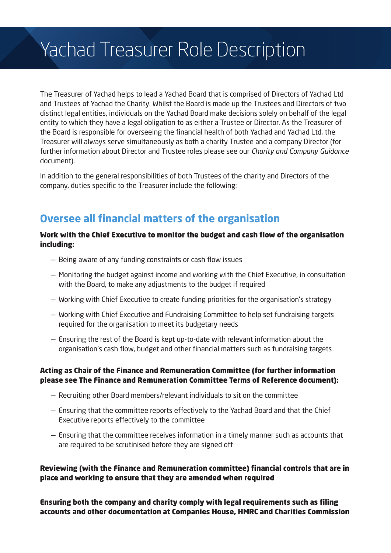## Yachad Treasurer Role Description

The Treasurer of Yachad helps to lead a Yachad Board that is comprised of Directors of Yachad Ltd and Trustees of Yachad the Charity. Whilst the Board is made up the Trustees and Directors of two distinct legal entities, individuals on the Yachad Board make decisions solely on behalf of the legal entity to which they have a legal obligation to as either a Trustee or Director. As the Treasurer of the Board is responsible for overseeing the financial health of both Yachad and Yachad Ltd, the Treasurer will always serve simultaneously as both a charity Trustee and a company Director (for further information about Director and Trustee roles please see our *Charity and Company Guidance* document).

In addition to the general responsibilities of both Trustees of the charity and Directors of the company, duties specific to the Treasurer include the following:

### **Oversee all financial matters of the organisation**

#### Work with the Chief Executive to monitor the budget and cash flow of the organisation including:

- Being aware of any funding constraints or cash flow issues
- Monitoring the budget against income and working with the Chief Executive, in consultation with the Board, to make any adjustments to the budget if required
- Working with Chief Executive to create funding priorities for the organisation's strategy
- Working with Chief Executive and Fundraising Committee to help set fundraising targets required for the organisation to meet its budgetary needs
- Ensuring the rest of the Board is kept up-to-date with relevant information about the organisation's cash flow, budget and other financial matters such as fundraising targets

#### Acting as Chair of the Finance and Remuneration Committee (for further information please see The Finance and Remuneration Committee Terms of Reference document):

- Recruiting other Board members/relevant individuals to sit on the committee
- Ensuring that the committee reports effectively to the Yachad Board and that the Chief Executive reports effectively to the committee
- Ensuring that the committee receives information in a timely manner such as accounts that are required to be scrutinised before they are signed off

#### Reviewing (with the Finance and Remuneration committee) financial controls that are in place and working to ensure that they are amended when required

Ensuring both the company and charity comply with legal requirements such as filing accounts and other documentation at Companies House, HMRC and Charities Commission